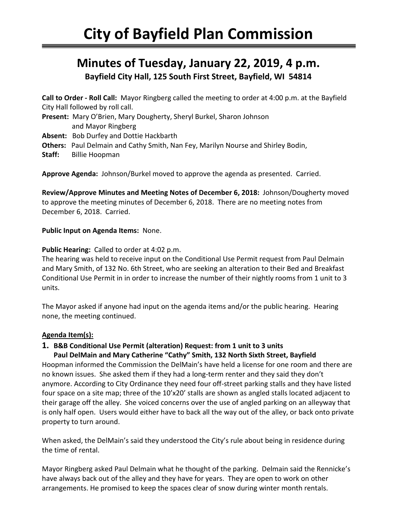# **Minutes of Tuesday, January 22, 2019, 4 p.m. Bayfield City Hall, 125 South First Street, Bayfield, WI 54814**

**Call to Order - Roll Call:** Mayor Ringberg called the meeting to order at 4:00 p.m. at the Bayfield City Hall followed by roll call. **Present:** Mary O'Brien, Mary Dougherty, Sheryl Burkel, Sharon Johnson and Mayor Ringberg **Absent:** Bob Durfey and Dottie Hackbarth **Others:** Paul Delmain and Cathy Smith, Nan Fey, Marilyn Nourse and Shirley Bodin,

**Staff:** Billie Hoopman

**Approve Agenda:** Johnson/Burkel moved to approve the agenda as presented. Carried.

**Review/Approve Minutes and Meeting Notes of December 6, 2018:** Johnson/Dougherty moved to approve the meeting minutes of December 6, 2018. There are no meeting notes from December 6, 2018. Carried.

#### **Public Input on Agenda Items:** None.

#### **Public Hearing:** Called to order at 4:02 p.m.

The hearing was held to receive input on the Conditional Use Permit request from Paul Delmain and Mary Smith, of 132 No. 6th Street, who are seeking an alteration to their Bed and Breakfast Conditional Use Permit in in order to increase the number of their nightly rooms from 1 unit to 3 units.

The Mayor asked if anyone had input on the agenda items and/or the public hearing. Hearing none, the meeting continued.

#### **Agenda Item(s):**

## **1. B&B Conditional Use Permit (alteration) Request: from 1 unit to 3 units**

#### **Paul DelMain and Mary Catherine "Cathy" Smith, 132 North Sixth Street, Bayfield**

Hoopman informed the Commission the DelMain's have held a license for one room and there are no known issues. She asked them if they had a long-term renter and they said they don't anymore. According to City Ordinance they need four off-street parking stalls and they have listed four space on a site map; three of the 10'x20' stalls are shown as angled stalls located adjacent to their garage off the alley. She voiced concerns over the use of angled parking on an alleyway that is only half open. Users would either have to back all the way out of the alley, or back onto private property to turn around.

When asked, the DelMain's said they understood the City's rule about being in residence during the time of rental.

Mayor Ringberg asked Paul Delmain what he thought of the parking. Delmain said the Rennicke's have always back out of the alley and they have for years. They are open to work on other arrangements. He promised to keep the spaces clear of snow during winter month rentals.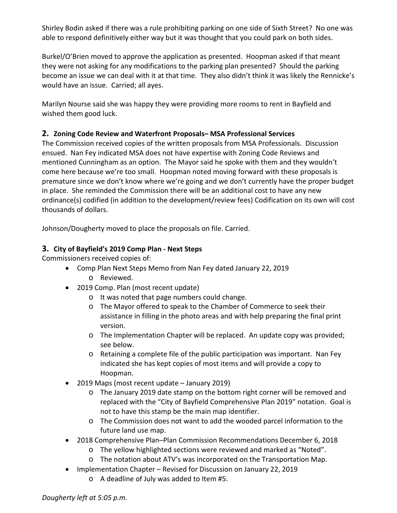Shirley Bodin asked if there was a rule prohibiting parking on one side of Sixth Street? No one was able to respond definitively either way but it was thought that you could park on both sides.

Burkel/O'Brien moved to approve the application as presented. Hoopman asked if that meant they were not asking for any modifications to the parking plan presented? Should the parking become an issue we can deal with it at that time. They also didn't think it was likely the Rennicke's would have an issue. Carried; all ayes.

Marilyn Nourse said she was happy they were providing more rooms to rent in Bayfield and wished them good luck.

## **2. Zoning Code Review and Waterfront Proposals– MSA Professional Services**

The Commission received copies of the written proposals from MSA Professionals. Discussion ensued. Nan Fey indicated MSA does not have expertise with Zoning Code Reviews and mentioned Cunningham as an option. The Mayor said he spoke with them and they wouldn't come here because we're too small. Hoopman noted moving forward with these proposals is premature since we don't know where we're going and we don't currently have the proper budget in place. She reminded the Commission there will be an additional cost to have any new ordinance(s) codified (in addition to the development/review fees) Codification on its own will cost thousands of dollars.

Johnson/Dougherty moved to place the proposals on file. Carried.

## **3. City of Bayfield's 2019 Comp Plan - Next Steps**

Commissioners received copies of:

- Comp Plan Next Steps Memo from Nan Fey dated January 22, 2019 o Reviewed.
- 2019 Comp. Plan (most recent update)
	- o It was noted that page numbers could change.
	- o The Mayor offered to speak to the Chamber of Commerce to seek their assistance in filling in the photo areas and with help preparing the final print version.
	- o The Implementation Chapter will be replaced. An update copy was provided; see below.
	- o Retaining a complete file of the public participation was important. Nan Fey indicated she has kept copies of most items and will provide a copy to Hoopman.
- 2019 Maps (most recent update January 2019)
	- o The January 2019 date stamp on the bottom right corner will be removed and replaced with the "City of Bayfield Comprehensive Plan 2019" notation. Goal is not to have this stamp be the main map identifier.
	- o The Commission does not want to add the wooded parcel information to the future land use map.
- 2018 Comprehensive Plan–Plan Commission Recommendations December 6, 2018
	- o The yellow highlighted sections were reviewed and marked as "Noted".
	- o The notation about ATV's was incorporated on the Transportation Map.
- Implementation Chapter Revised for Discussion on January 22, 2019
	- o A deadline of July was added to Item #5.

*Dougherty left at 5:05 p.m.*